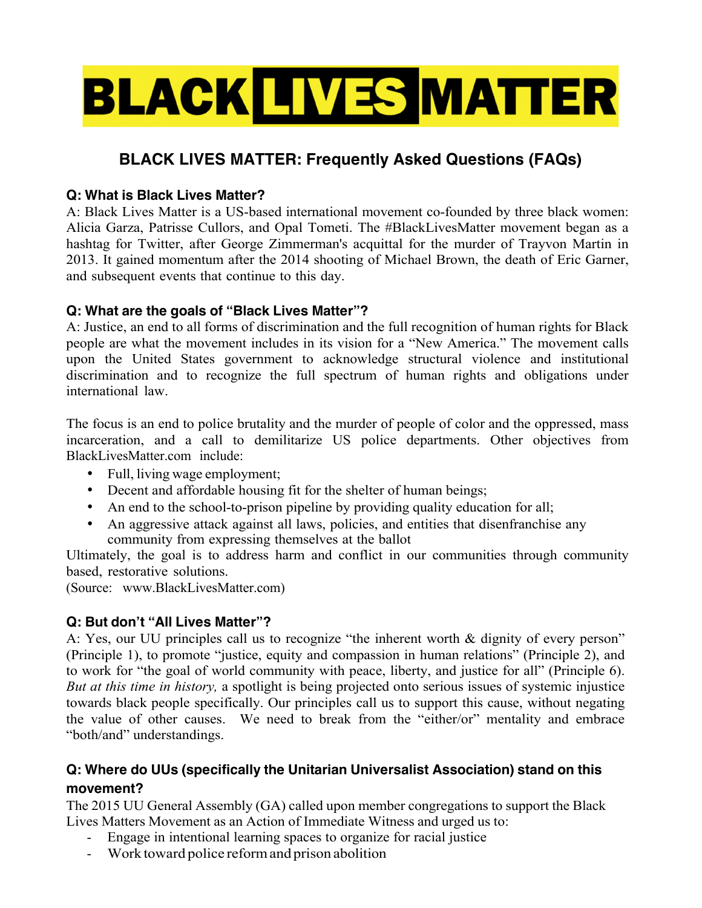# **BLACK LIVES MATTER**

# **BLACK LIVES MATTER: Frequently Asked Questions (FAQs)**

#### **Q: What is Black Lives Matter?**

A: Black Lives Matter is a US-based international movement co-founded by three black women: Alicia Garza, Patrisse Cullors, and Opal Tometi. The #BlackLivesMatter movement began as a hashtag for Twitter, after George Zimmerman's acquittal for the murder of Trayvon Martin in 2013. It gained momentum after the 2014 shooting of Michael Brown, the death of Eric Garner, and subsequent events that continue to this day.

#### **Q: What are the goals of "Black Lives Matter"?**

A: Justice, an end to all forms of discrimination and the full recognition of human rights for Black people are what the movement includes in its vision for a "New America." The movement calls upon the United States government to acknowledge structural violence and institutional discrimination and to recognize the full spectrum of human rights and obligations under international law.

The focus is an end to police brutality and the murder of people of color and the oppressed, mass incarceration, and a call to demilitarize US police departments. Other objectives from BlackLivesMatter.com include:

- Full, living wage employment;
- Decent and affordable housing fit for the shelter of human beings;
- An end to the school-to-prison pipeline by providing quality education for all;
- An aggressive attack against all laws, policies, and entities that disenfranchise any community from expressing themselves at the ballot

Ultimately, the goal is to address harm and conflict in our communities through community based, restorative solutions.

(Source: www.BlackLivesMatter.com)

## **Q: But don't "All Lives Matter"?**

A: Yes, our UU principles call us to recognize "the inherent worth & dignity of every person" (Principle 1), to promote "justice, equity and compassion in human relations" (Principle 2), and to work for "the goal of world community with peace, liberty, and justice for all" (Principle 6). *But at this time in history,* a spotlight is being projected onto serious issues of systemic injustice towards black people specifically. Our principles call us to support this cause, without negating the value of other causes. We need to break from the "either/or" mentality and embrace "both/and" understandings.

## **Q: Where do UUs (specifically the Unitarian Universalist Association) stand on this movement?**

The 2015 UU General Assembly (GA) called upon member congregations to support the Black Lives Matters Movement as an Action of Immediate Witness and urged us to:

- Engage in intentional learning spaces to organize for racial justice
- Work toward police reformand prison abolition